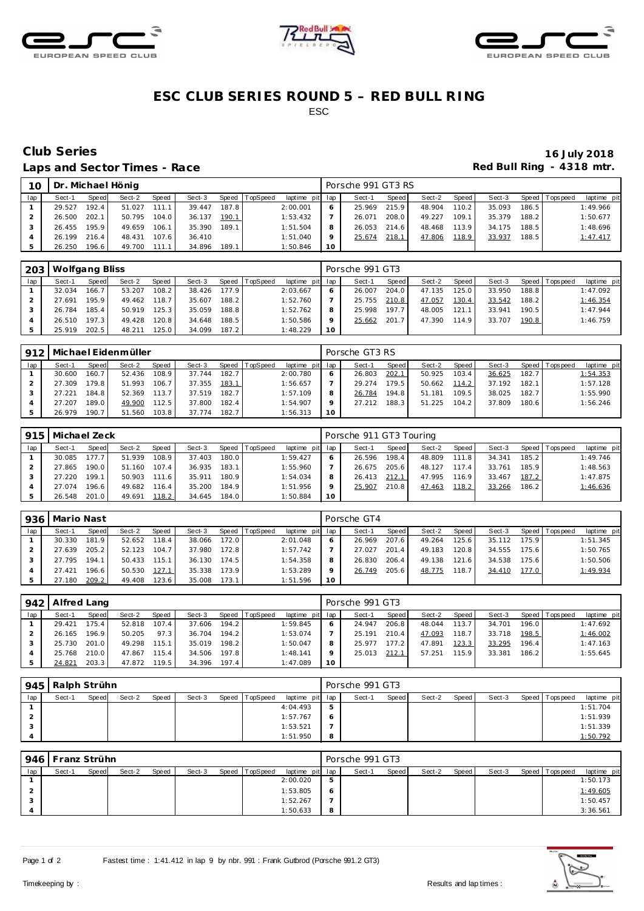





## **ESC CLUB SERIES ROUND 5 – RED BULL RING** ESC

## Laps and Sector Times - Race **Race** *Red Bull Ring - 4318* mtr.

# **Club Series 16 July 2018**

| 10  |        |       | Dr. Michael Hönig |       |        |       |                |                 |           | Porsche 991 GT3 RS |       |        |         |        |       |                   |             |
|-----|--------|-------|-------------------|-------|--------|-------|----------------|-----------------|-----------|--------------------|-------|--------|---------|--------|-------|-------------------|-------------|
| lap | Sect-1 | Speed | Sect-2            | Speed | Sect-3 |       | Speed TopSpeed | laptime pit lap |           | Sect-1             | Speed | Sect-2 | Speed I | Sect-3 |       | Speed   Tops peed | laptime pit |
|     | 29.527 | 192.4 | 51.027            | 111.1 | 39.447 | 187.8 |                | 2:00.001        |           | 25.969             | 215.9 | 48.904 | 110.2   | 35.093 | 186.5 |                   | 1:49.966    |
|     | 26.500 | 202.1 | 50.795            | 104.0 | 36.137 | 190.1 |                | 1:53.432        |           | 26.071             | 208.0 | 49.227 | 109.1   | 35.379 | 188.2 |                   | 1:50.677    |
|     | 26.455 | 195.9 | 49.659            | 106.1 | 35.390 | 189.1 |                | 1:51.504        | 8         | 26.053             | 214.6 | 48.468 | 113.9   | 34.175 | 188.5 |                   | 1:48.696    |
|     | 26.199 | 216.4 | 48.431            | 107.6 | 36.410 |       |                | 1:51.040        | $\circ$   | 25.674             | 218.1 | 47.806 | 118.9   | 33.937 | 188.5 |                   | 1:47.417    |
|     | 26.250 | 196.6 | 49.700            | 111.1 | 34.896 | 189.1 |                | 1:50.846        | <b>10</b> |                    |       |        |         |        |       |                   |             |

| 203 | Wolfgang Bliss |       |        |       |        |       |                |                 |         | Porsche 991 GT3 |       |        |       |        |       |                 |             |
|-----|----------------|-------|--------|-------|--------|-------|----------------|-----------------|---------|-----------------|-------|--------|-------|--------|-------|-----------------|-------------|
| lap | Sect-1         | Speed | Sect-2 | Speed | Sect-3 |       | Speed TopSpeed | laptime pit lap |         | Sect-1          | Speed | Sect-2 | Speed | Sect-3 |       | Speed Tops peed | laptime pit |
|     | 32.034         | 166.7 | 53.207 | 108.2 | 38.426 | 177.9 |                | 2:03.667        |         | 26.007          | 204.0 | 47.135 | 125.0 | 33.950 | 188.8 |                 | 1:47.092    |
|     | 27.691         | 195.9 | 49.462 | 118.7 | 35.607 | 188.2 |                | 1:52.760        |         | 25.755          | 210.8 | 47.057 | 130.4 | 33.542 | 188.2 |                 | 1:46.354    |
|     | 26.784         | 185.4 | 50.919 | 125.3 | 35.059 | 188.8 |                | 1:52.762        | 8       | 25.998          | 197.7 | 48.005 | 121.1 | 33.941 | 190.5 |                 | 1:47.944    |
|     | 26.510         | 197.3 | 49.428 | 120.8 | 34.648 | 188.5 |                | 1:50.586        | $\circ$ | 25.662          | 201.7 | 47.390 | 114.9 | 33.707 | 190.8 |                 | 1:46.759    |
|     | 25.919         | 202.5 | 48.211 | 125.0 | 34.099 | 187.2 |                | 1:48.229        | 10      |                 |       |        |       |        |       |                 |             |

| 912 |        |       | Michael Eidenmüller |       |        |       |          |             |     | Porsche GT3 RS |       |        |       |        |       |                |             |
|-----|--------|-------|---------------------|-------|--------|-------|----------|-------------|-----|----------------|-------|--------|-------|--------|-------|----------------|-------------|
| lap | Sect-1 | Speed | Sect-2              | Speed | Sect-3 | Speed | TopSpeed | laptime pit | lap | Sect-1         | Speed | Sect-2 | Speed | Sect-3 |       | Speed Topspeed | laptime pit |
|     | 30.600 | 160.7 | 52.436              | 108.9 | 37.744 | 182.7 |          | 2:00.780    | 6   | 26.803         | 202.1 | 50.925 | 103.4 | 36.625 | 182.7 |                | 1:54.353    |
|     | 27.309 | 179.8 | 51.993              | 106.7 | 37.355 | 183.1 |          | 1:56.657    |     | 29.274         | 179.5 | 50.662 | 114.2 | 37.192 | 182.1 |                | 1:57.128    |
|     | 27.221 | 184.8 | 52.369              | 113.7 | 37.519 | 182.7 |          | 1:57.109    | 8   | 26.784         | 194.8 | 51.181 | 109.5 | 38.025 | 182.7 |                | 1:55.990    |
|     | 27.207 | 189.0 | 49.900              | 112.5 | 37.800 | 182.4 |          | 1:54.907    | Q   | 27.212         | 188.3 | 51.225 | 104.2 | 37.809 | 180.6 |                | 1:56.246    |
|     | 26.979 | 190.7 | 51.560              | 103.8 | 37.774 | 182.7 |          | 1:56.313    | 10  |                |       |        |       |        |       |                |             |

| 915 | Michael Zeck |       |        |       |        |       |                |                 |    | Porsche 911 GT3 Touring |         |        |       |        |       |                 |             |
|-----|--------------|-------|--------|-------|--------|-------|----------------|-----------------|----|-------------------------|---------|--------|-------|--------|-------|-----------------|-------------|
| lap | Sect-1       | Speed | Sect-2 | Speed | Sect-3 |       | Speed TopSpeed | laptime pit lap |    | Sect-1                  | Speed I | Sect-2 | Speed | Sect-3 |       | Speed Tops peed | laptime pit |
|     | 30.085       | 177.7 | 51.939 | 108.9 | 37.403 | 180.0 |                | 1:59.427        |    | 26.596                  | 198.4   | 48.809 | 111.8 | 34.341 | 185.2 |                 | 1:49.746    |
|     | 27.865       | 190.0 | 51.160 | 107.4 | 36.935 | 183.1 |                | 1:55.960        |    | 26.675                  | 205.6   | 48.127 | 117.4 | 33.761 | 185.9 |                 | 1:48.563    |
|     | 27.220       | 199.1 | 50.903 | 111.6 | 35.911 | 180.9 |                | 1:54.034        |    | 26.413                  | 212.1   | 47.995 | 116.9 | 33.467 | 187.2 |                 | 1:47.875    |
|     | 27.074       | 196.6 | 49.682 | 116.4 | 35.200 | 184.9 |                | 1:51.956        |    | 25.907                  | 210.8   | 47.463 | 118.2 | 33.266 | 186.2 |                 | 1:46.636    |
|     | 26.548       | 201.0 | 49.691 | 118.2 | 34.645 | 184.0 |                | 1:50.884        | 10 |                         |         |        |       |        |       |                 |             |

| 936 | Mario Nast |                    |        |       |        |       |                  |                 |              | Porsche GT4 |       |        |       |        |       |                 |             |
|-----|------------|--------------------|--------|-------|--------|-------|------------------|-----------------|--------------|-------------|-------|--------|-------|--------|-------|-----------------|-------------|
| lap | Sect-1     | Speed              | Sect-2 | Speed | Sect-3 |       | Speed   TopSpeed | laptime pit lap |              | Sect-1      | Speed | Sect-2 | Speed | Sect-3 |       | Speed Tops peed | laptime pit |
|     | 30.330     | 181.9              | 52.652 | 118.4 | 38.066 | 172.0 |                  | 2:01.048        | <sub>O</sub> | 26.969      | 207.6 | 49.264 | 125.6 | 35.112 | 175.9 |                 | 1:51.345    |
|     | 27.639     | 205.2              | 52.123 | 104.7 | 37.980 | 172.8 |                  | 1:57.742        |              | 27.027      | 201.4 | 49.183 | 120.8 | 34.555 | 175.6 |                 | 1:50.765    |
|     | 27.795     | 194.1              | 50.433 | 115.1 | 36.130 | 174.5 |                  | 1:54.358        | 8            | 26.830      | 206.4 | 49.138 | 121.6 | 34.538 | 175.6 |                 | 1:50.506    |
|     | 27.421     | 196.6 <sub>1</sub> | 50.530 | 127.1 | 35.338 | 173.9 |                  | 1:53.289        |              | 26.749      | 205.6 | 48.775 | 118.7 | 34.410 | 177.0 |                 | 1:49.934    |
|     | 27.180     | 209.2              | 49.408 | 123.6 | 35.008 | 173.1 |                  | 1:51.596        | 10           |             |       |        |       |        |       |                 |             |

|     | 942   Alfred Lang |       |        |       |        |       |                |                 |         | Porsche 991 GT3 |         |        |       |        |       |                 |             |
|-----|-------------------|-------|--------|-------|--------|-------|----------------|-----------------|---------|-----------------|---------|--------|-------|--------|-------|-----------------|-------------|
| lap | Sect-1            | Speed | Sect-2 | Speed | Sect-3 |       | Speed TopSpeed | laptime pit lap |         | Sect-1          | Speed I | Sect-2 | Speed | Sect-3 |       | Speed Tops peed | laptime pit |
|     | 29.421            | 175.4 | 52.818 | 107.4 | 37.606 | 194.2 |                | 1:59.845        |         | 24.947          | 206.8   | 48.044 | 113.7 | 34.701 | 196.0 |                 | 1:47.692    |
|     | 26.165            | 196.9 | 50.205 | 97.3  | 36.704 | 194.2 |                | 1:53.074        |         | 25.191          | 210.4   | 47.093 | 118.7 | 33.718 | 198.5 |                 | 1:46.002    |
|     | 25.730            | 201.0 | 49.298 | 115.1 | 35.019 | 198.2 |                | 1:50.047        | 8       | 25.977          | 177.2   | 47.891 | 123.3 | 33.295 | 196.4 |                 | 1:47.163    |
|     | 25.768            | 210.0 | 47.867 | 115.4 | 34.506 | 197.8 |                | 1:48.141        | $\circ$ | 25.013          | 212.1   | 57.251 | 115.9 | 33.381 | 186.2 |                 | 1:55.645    |
|     | 24.821            | 203.3 | 47.872 | 119.5 | 34.396 | 197.4 |                | 1:47.089        | 10      |                 |         |        |       |        |       |                 |             |

|     | 945   Ralph Strühn |       |        |       |        |                |                 |   | Porsche 991 GT3 |       |        |       |        |                 |             |
|-----|--------------------|-------|--------|-------|--------|----------------|-----------------|---|-----------------|-------|--------|-------|--------|-----------------|-------------|
| lap | Sect-1             | Speed | Sect-2 | Speed | Sect-3 | Speed TopSpeed | laptime pit lap |   | Sect-1          | Speed | Sect-2 | Speed | Sect-3 | Speed Tops peed | laptime pit |
|     |                    |       |        |       |        |                | 4:04.493        | 5 |                 |       |        |       |        |                 | 1:51.704    |
|     |                    |       |        |       |        |                | 1:57.767        | O |                 |       |        |       |        |                 | 1:51.939    |
|     |                    |       |        |       |        |                | 1:53.521        |   |                 |       |        |       |        |                 | 1:51.339    |
|     |                    |       |        |       |        |                | 1:51.950        | 8 |                 |       |        |       |        |                 | 1:50.792    |

| 946 | Franz Strühn |       |        |       |        |                |                 |     | Porsche 991 GT3 |       |        |       |        |                   |             |
|-----|--------------|-------|--------|-------|--------|----------------|-----------------|-----|-----------------|-------|--------|-------|--------|-------------------|-------------|
| lap | Sect-1       | Speed | Sect-2 | Speed | Sect-3 | Speed TopSpeed | laptime pit lap |     | Sect-1          | Speed | Sect-2 | Speed | Sect-3 | Speed   Tops peed | laptime pit |
|     |              |       |        |       |        |                | 2:00.020        | -5  |                 |       |        |       |        |                   | 1:50.173    |
|     |              |       |        |       |        |                | 1:53.805        | - 6 |                 |       |        |       |        |                   | 1:49.605    |
|     |              |       |        |       |        |                | 1:52.267        |     |                 |       |        |       |        |                   | 1:50.457    |
|     |              |       |        |       |        |                | 1:50.633        | -8  |                 |       |        |       |        |                   | 3:36.561    |